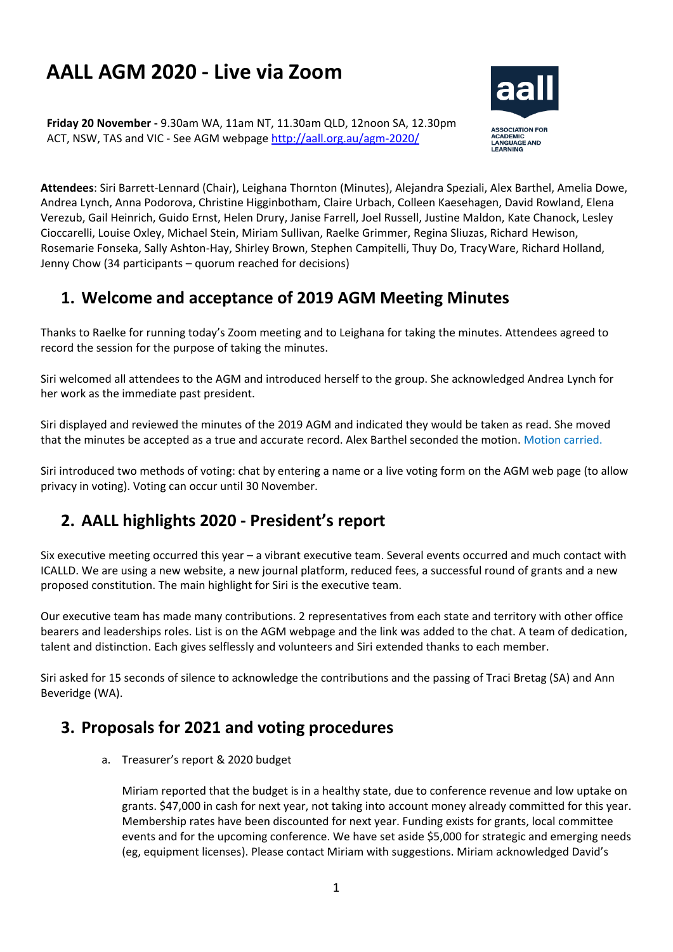# **AALL AGM 2020 - Live via Zoom**

**Friday 20 November -** 9.30am WA, 11am NT, 11.30am QLD, 12noon SA, 12.30pm ACT, NSW, TAS and VIC - See AGM webpage<http://aall.org.au/agm-2020/>



**Attendees**: Siri Barrett-Lennard (Chair), Leighana Thornton (Minutes), Alejandra Speziali, Alex Barthel, Amelia Dowe, Andrea Lynch, Anna Podorova, Christine Higginbotham, Claire Urbach, Colleen Kaesehagen, David Rowland, Elena Verezub, Gail Heinrich, Guido Ernst, Helen Drury, Janise Farrell, Joel Russell, Justine Maldon, Kate Chanock, Lesley Cioccarelli, Louise Oxley, Michael Stein, Miriam Sullivan, Raelke Grimmer, Regina Sliuzas, Richard Hewison, Rosemarie Fonseka, Sally Ashton-Hay, Shirley Brown, Stephen Campitelli, Thuy Do, TracyWare, Richard Holland, Jenny Chow (34 participants – quorum reached for decisions)

## **1. Welcome and acceptance of 2019 AGM Meeting Minutes**

Thanks to Raelke for running today's Zoom meeting and to Leighana for taking the minutes. Attendees agreed to record the session for the purpose of taking the minutes.

Siri welcomed all attendees to the AGM and introduced herself to the group. She acknowledged Andrea Lynch for her work as the immediate past president.

Siri displayed and reviewed the minutes of the 2019 AGM and indicated they would be taken as read. She moved that the minutes be accepted as a true and accurate record. Alex Barthel seconded the motion. Motion carried.

Siri introduced two methods of voting: chat by entering a name or a live voting form on the AGM web page (to allow privacy in voting). Voting can occur until 30 November.

# **2. AALL highlights 2020 - President's report**

Six executive meeting occurred this year – a vibrant executive team. Several events occurred and much contact with ICALLD. We are using a new website, a new journal platform, reduced fees, a successful round of grants and a new proposed constitution. The main highlight for Siri is the executive team.

Our executive team has made many contributions. 2 representatives from each state and territory with other office bearers and leaderships roles. List is on the AGM webpage and the link was added to the chat. A team of dedication, talent and distinction. Each gives selflessly and volunteers and Siri extended thanks to each member.

Siri asked for 15 seconds of silence to acknowledge the contributions and the passing of Traci Bretag (SA) and Ann Beveridge (WA).

### **3. Proposals for 2021 and voting procedures**

a. Treasurer's report & 2020 budget

Miriam reported that the budget is in a healthy state, due to conference revenue and low uptake on grants. \$47,000 in cash for next year, not taking into account money already committed for this year. Membership rates have been discounted for next year. Funding exists for grants, local committee events and for the upcoming conference. We have set aside \$5,000 for strategic and emerging needs (eg, equipment licenses). Please contact Miriam with suggestions. Miriam acknowledged David's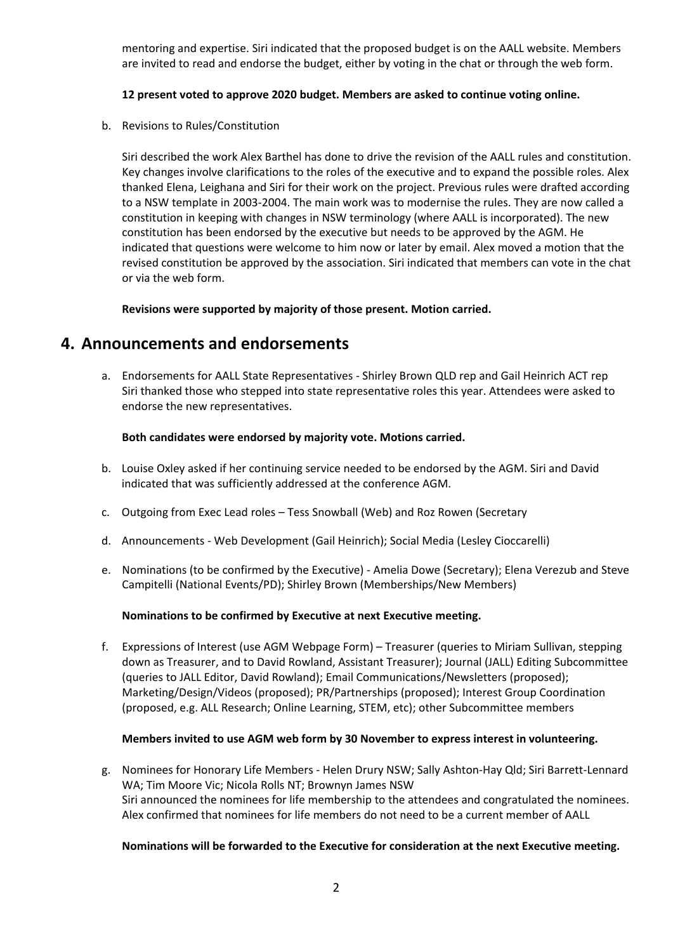mentoring and expertise. Siri indicated that the proposed budget is on the AALL website. Members are invited to read and endorse the budget, either by voting in the chat or through the web form.

#### **12 present voted to approve 2020 budget. Members are asked to continue voting online.**

b. Revisions to Rules/Constitution

Siri described the work Alex Barthel has done to drive the revision of the AALL rules and constitution. Key changes involve clarifications to the roles of the executive and to expand the possible roles. Alex thanked Elena, Leighana and Siri for their work on the project. Previous rules were drafted according to a NSW template in 2003-2004. The main work was to modernise the rules. They are now called a constitution in keeping with changes in NSW terminology (where AALL is incorporated). The new constitution has been endorsed by the executive but needs to be approved by the AGM. He indicated that questions were welcome to him now or later by email. Alex moved a motion that the revised constitution be approved by the association. Siri indicated that members can vote in the chat or via the web form.

**Revisions were supported by majority of those present. Motion carried.**

### **4. Announcements and endorsements**

a. Endorsements for AALL State Representatives - Shirley Brown QLD rep and Gail Heinrich ACT rep Siri thanked those who stepped into state representative roles this year. Attendees were asked to endorse the new representatives.

#### **Both candidates were endorsed by majority vote. Motions carried.**

- b. Louise Oxley asked if her continuing service needed to be endorsed by the AGM. Siri and David indicated that was sufficiently addressed at the conference AGM.
- c. Outgoing from Exec Lead roles Tess Snowball (Web) and Roz Rowen (Secretary
- d. Announcements Web Development (Gail Heinrich); Social Media (Lesley Cioccarelli)
- e. Nominations (to be confirmed by the Executive) Amelia Dowe (Secretary); Elena Verezub and Steve Campitelli (National Events/PD); Shirley Brown (Memberships/New Members)

#### **Nominations to be confirmed by Executive at next Executive meeting.**

f. Expressions of Interest (use AGM Webpage Form) – Treasurer (queries to Miriam Sullivan, stepping down as Treasurer, and to David Rowland, Assistant Treasurer); Journal (JALL) Editing Subcommittee (queries to JALL Editor, David Rowland); Email Communications/Newsletters (proposed); Marketing/Design/Videos (proposed); PR/Partnerships (proposed); Interest Group Coordination (proposed, e.g. ALL Research; Online Learning, STEM, etc); other Subcommittee members

#### **Members invited to use AGM web form by 30 November to express interest in volunteering.**

g. Nominees for Honorary Life Members - Helen Drury NSW; Sally Ashton-Hay Qld; Siri Barrett-Lennard WA; Tim Moore Vic; Nicola Rolls NT; Brownyn James NSW Siri announced the nominees for life membership to the attendees and congratulated the nominees. Alex confirmed that nominees for life members do not need to be a current member of AALL

#### **Nominations will be forwarded to the Executive for consideration at the next Executive meeting.**